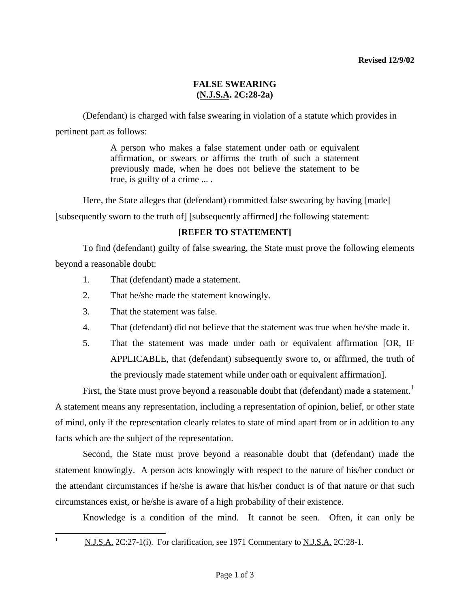### **Revised 12/9/02**

## **FALSE SWEARING (N.J.S.A. 2C:28-2a)**

 (Defendant) is charged with false swearing in violation of a statute which provides in pertinent part as follows:

> A person who makes a false statement under oath or equivalent affirmation, or swears or affirms the truth of such a statement previously made, when he does not believe the statement to be true, is guilty of a crime ... .

Here, the State alleges that (defendant) committed false swearing by having [made]

[subsequently sworn to the truth of] [subsequently affirmed] the following statement:

## **[REFER TO STATEMENT]**

 To find (defendant) guilty of false swearing, the State must prove the following elements beyond a reasonable doubt:

- 1. That (defendant) made a statement.
- 2. That he/she made the statement knowingly.
- 3. That the statement was false.
- 4. That (defendant) did not believe that the statement was true when he/she made it.
- 5. That the statement was made under oath or equivalent affirmation [OR, IF APPLICABLE, that (defendant) subsequently swore to, or affirmed, the truth of the previously made statement while under oath or equivalent affirmation].

First, the State must prove beyond a reasonable doubt that (defendant) made a statement.<sup>[1](#page-0-0)</sup> A statement means any representation, including a representation of opinion, belief, or other state of mind, only if the representation clearly relates to state of mind apart from or in addition to any facts which are the subject of the representation.

 Second, the State must prove beyond a reasonable doubt that (defendant) made the statement knowingly. A person acts knowingly with respect to the nature of his/her conduct or the attendant circumstances if he/she is aware that his/her conduct is of that nature or that such circumstances exist, or he/she is aware of a high probability of their existence.

Knowledge is a condition of the mind. It cannot be seen. Often, it can only be

<span id="page-0-1"></span><span id="page-0-0"></span>|<br>|<br>|

N.J.S.A. 2C:27-1(i). For clarification, see 1971 Commentary to N.J.S.A. 2C:28-1.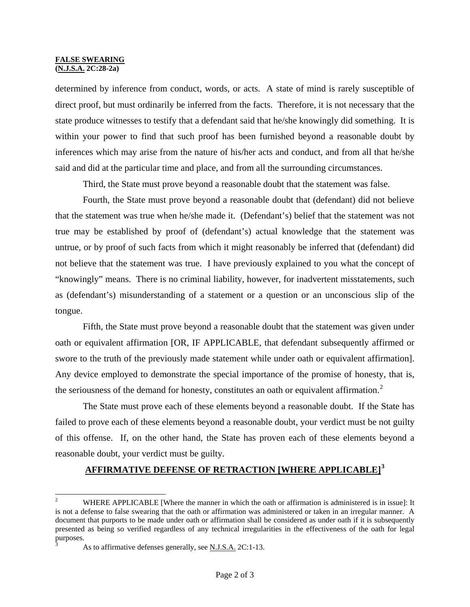#### **FALSE SWEARING (N.J.S.A. 2C:28-2a)**

determined by inference from conduct, words, or acts. A state of mind is rarely susceptible of direct proof, but must ordinarily be inferred from the facts. Therefore, it is not necessary that the state produce witnesses to testify that a defendant said that he/she knowingly did something. It is within your power to find that such proof has been furnished beyond a reasonable doubt by inferences which may arise from the nature of his/her acts and conduct, and from all that he/she said and did at the particular time and place, and from all the surrounding circumstances.

Third, the State must prove beyond a reasonable doubt that the statement was false.

 Fourth, the State must prove beyond a reasonable doubt that (defendant) did not believe that the statement was true when he/she made it. (Defendant's) belief that the statement was not true may be established by proof of (defendant's) actual knowledge that the statement was untrue, or by proof of such facts from which it might reasonably be inferred that (defendant) did not believe that the statement was true. I have previously explained to you what the concept of "knowingly" means. There is no criminal liability, however, for inadvertent misstatements, such as (defendant's) misunderstanding of a statement or a question or an unconscious slip of the tongue.

 Fifth, the State must prove beyond a reasonable doubt that the statement was given under oath or equivalent affirmation [OR, IF APPLICABLE, that defendant subsequently affirmed or swore to the truth of the previously made statement while under oath or equivalent affirmation]. Any device employed to demonstrate the special importance of the promise of honesty, that is, the seriousness of the demand for honesty, constitutes an oath or equivalent affirmation.<sup>[2](#page-0-1)</sup>

 The State must prove each of these elements beyond a reasonable doubt. If the State has failed to prove each of these elements beyond a reasonable doubt, your verdict must be not guilty of this offense. If, on the other hand, the State has proven each of these elements beyond a reasonable doubt, your verdict must be guilty.

# **AFFIRMATIVE DEFENSE OF RETRACTION [WHERE APPLICABLE][3](#page-1-0)**

<sup>&</sup>lt;sup>2</sup> WHERE APPLICABLE [Where the manner in which the oath or affirmation is administered is in issue]: It is not a defense to false swearing that the oath or affirmation was administered or taken in an irregular manner. A document that purports to be made under oath or affirmation shall be considered as under oath if it is subsequently presented as being so verified regardless of any technical irregularities in the effectiveness of the oath for legal purposes. 3

<span id="page-1-0"></span>As to affirmative defenses generally, see N.J.S.A. 2C:1-13.